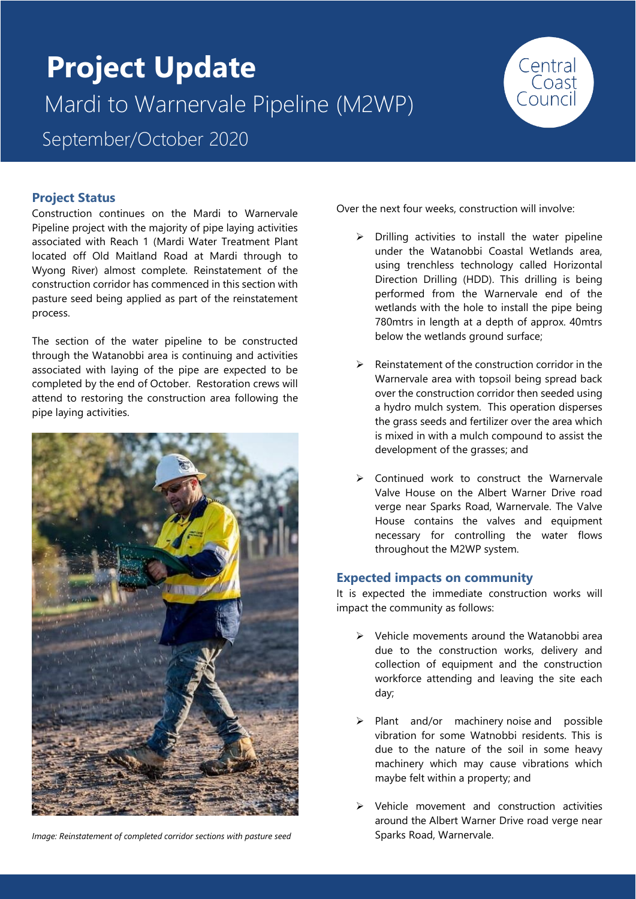# **Project Update** Mardi to Warnervale Pipeline (M2WP) September/October 2020



### **Project Status**

Construction continues on the Mardi to Warnervale Pipeline project with the majority of pipe laying activities associated with Reach 1 (Mardi Water Treatment Plant located off Old Maitland Road at Mardi through to Wyong River) almost complete. Reinstatement of the construction corridor has commenced in this section with pasture seed being applied as part of the reinstatement process.

The section of the water pipeline to be constructed through the Watanobbi area is continuing and activities associated with laying of the pipe are expected to be completed by the end of October. Restoration crews will attend to restoring the construction area following the pipe laying activities.



*Image: Reinstatement of completed corridor sections with pasture seed*

Over the next four weeks, construction will involve:

- ➢ Drilling activities to install the water pipeline under the Watanobbi Coastal Wetlands area, using trenchless technology called Horizontal Direction Drilling (HDD). This drilling is being performed from the Warnervale end of the wetlands with the hole to install the pipe being 780mtrs in length at a depth of approx. 40mtrs below the wetlands ground surface;
- $\triangleright$  Reinstatement of the construction corridor in the Warnervale area with topsoil being spread back over the construction corridor then seeded using a hydro mulch system. This operation disperses the grass seeds and fertilizer over the area which is mixed in with a mulch compound to assist the development of the grasses; and
- ➢ Continued work to construct the Warnervale Valve House on the Albert Warner Drive road verge near Sparks Road, Warnervale. The Valve House contains the valves and equipment necessary for controlling the water flows throughout the M2WP system.

#### **Expected impacts on community**

It is expected the immediate construction works will impact the community as follows:

- ➢ Vehicle movements around the Watanobbi area due to the construction works, delivery and collection of equipment and the construction workforce attending and leaving the site each day;
- ➢ Plant and/or machinery noise and possible vibration for some Watnobbi residents. This is due to the nature of the soil in some heavy machinery which may cause vibrations which maybe felt within a property; and
- ➢ Vehicle movement and construction activities around the Albert Warner Drive road verge near Sparks Road, Warnervale.